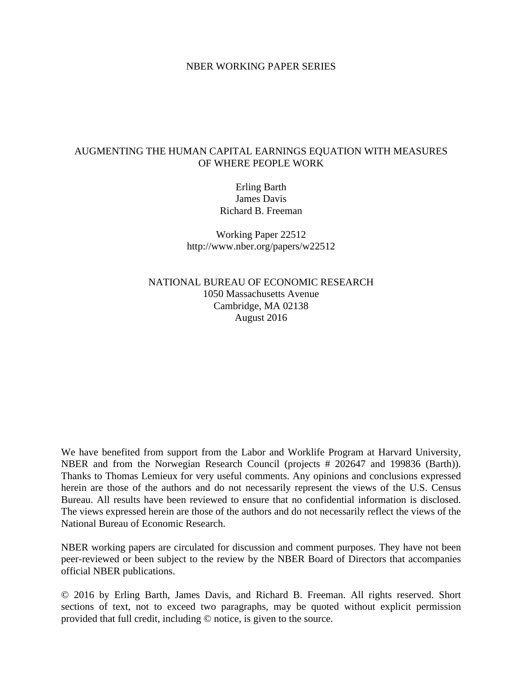### NBER WORKING PAPER SERIES

## AUGMENTING THE HUMAN CAPITAL EARNINGS EQUATION WITH MEASURES OF WHERE PEOPLE WORK

Erling Barth James Davis Richard B. Freeman

Working Paper 22512 http://www.nber.org/papers/w22512

NATIONAL BUREAU OF ECONOMIC RESEARCH 1050 Massachusetts Avenue Cambridge, MA 02138 August 2016

We have benefited from support from the Labor and Worklife Program at Harvard University, NBER and from the Norwegian Research Council (projects # 202647 and 199836 (Barth)). Thanks to Thomas Lemieux for very useful comments. Any opinions and conclusions expressed herein are those of the authors and do not necessarily represent the views of the U.S. Census Bureau. All results have been reviewed to ensure that no confidential information is disclosed. The views expressed herein are those of the authors and do not necessarily reflect the views of the National Bureau of Economic Research.

NBER working papers are circulated for discussion and comment purposes. They have not been peer-reviewed or been subject to the review by the NBER Board of Directors that accompanies official NBER publications.

© 2016 by Erling Barth, James Davis, and Richard B. Freeman. All rights reserved. Short sections of text, not to exceed two paragraphs, may be quoted without explicit permission provided that full credit, including © notice, is given to the source.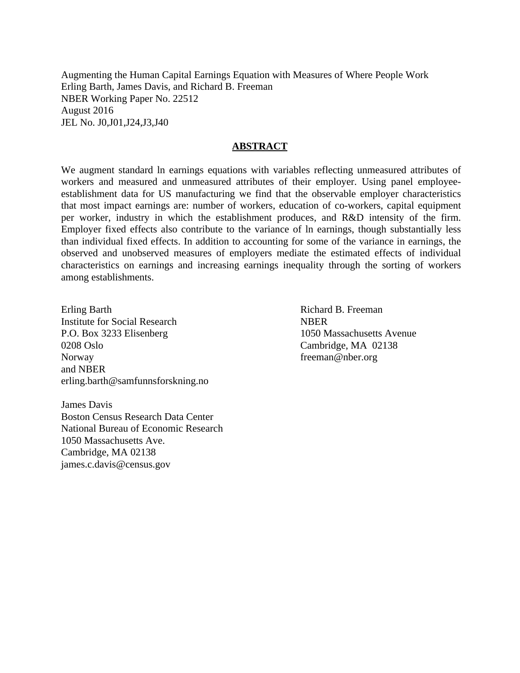Augmenting the Human Capital Earnings Equation with Measures of Where People Work Erling Barth, James Davis, and Richard B. Freeman NBER Working Paper No. 22512 August 2016 JEL No. J0,J01,J24,J3,J40

## **ABSTRACT**

We augment standard ln earnings equations with variables reflecting unmeasured attributes of workers and measured and unmeasured attributes of their employer. Using panel employeeestablishment data for US manufacturing we find that the observable employer characteristics that most impact earnings are: number of workers, education of co-workers, capital equipment per worker, industry in which the establishment produces, and R&D intensity of the firm. Employer fixed effects also contribute to the variance of ln earnings, though substantially less than individual fixed effects. In addition to accounting for some of the variance in earnings, the observed and unobserved measures of employers mediate the estimated effects of individual characteristics on earnings and increasing earnings inequality through the sorting of workers among establishments.

Erling Barth Institute for Social Research P.O. Box 3233 Elisenberg 0208 Oslo Norway and NBER erling.barth@samfunnsforskning.no Richard B. Freeman **NBER** 1050 Massachusetts Avenue Cambridge, MA 02138 freeman@nber.org

James Davis Boston Census Research Data Center National Bureau of Economic Research 1050 Massachusetts Ave. Cambridge, MA 02138 james.c.davis@census.gov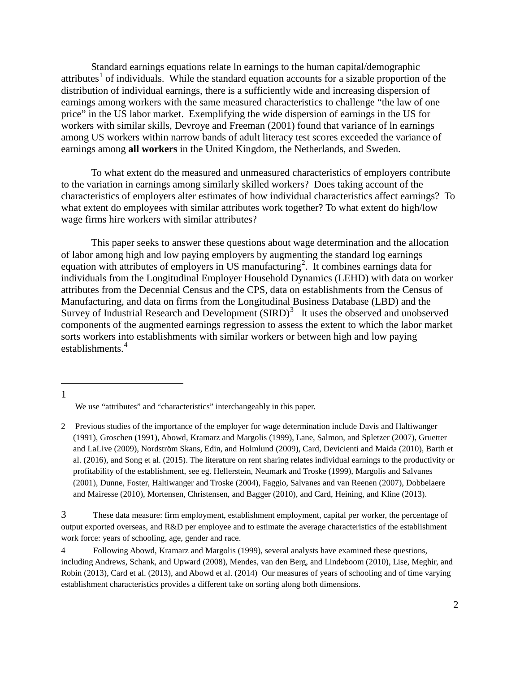Standard earnings equations relate ln earnings to the human capital/demographic attributes<sup>[1](#page-2-0)</sup> of individuals. While the standard equation accounts for a sizable proportion of the distribution of individual earnings, there is a sufficiently wide and increasing dispersion of earnings among workers with the same measured characteristics to challenge "the law of one price" in the US labor market. Exemplifying the wide dispersion of earnings in the US for workers with similar skills, Devroye and Freeman (2001) found that variance of ln earnings among US workers within narrow bands of adult literacy test scores exceeded the variance of earnings among **all workers** in the United Kingdom, the Netherlands, and Sweden.

 To what extent do the measured and unmeasured characteristics of employers contribute to the variation in earnings among similarly skilled workers? Does taking account of the characteristics of employers alter estimates of how individual characteristics affect earnings? To what extent do employees with similar attributes work together? To what extent do high/low wage firms hire workers with similar attributes?

 This paper seeks to answer these questions about wage determination and the allocation of labor among high and low paying employers by augmenting the standard log earnings equation with attributes of employers in US manufacturing<sup>[2](#page-2-1)</sup>. It combines earnings data for individuals from the Longitudinal Employer Household Dynamics (LEHD) with data on worker attributes from the Decennial Census and the CPS, data on establishments from the Census of Manufacturing, and data on firms from the Longitudinal Business Database (LBD) and the Survey of Industrial Research and Development  $(SIRD)^3$  $(SIRD)^3$  It uses the observed and unobserved components of the augmented earnings regression to assess the extent to which the labor market sorts workers into establishments with similar workers or between high and low paying establishments.<sup>[4](#page-2-3)</sup>

We use "attributes" and "characteristics" interchangeably in this paper.

<span id="page-2-1"></span><span id="page-2-0"></span><sup>2</sup> Previous studies of the importance of the employer for wage determination include Davis and Haltiwanger (1991), Groschen (1991), Abowd, Kramarz and Margolis (1999), Lane, Salmon, and Spletzer (2007), Gruetter and LaLive (2009), Nordström Skans, Edin, and Holmlund (2009), Card, Devicienti and Maida (2010), Barth et al. (2016), and Song et al. (2015). The literature on rent sharing relates individual earnings to the productivity or profitability of the establishment, see eg. Hellerstein, Neumark and Troske (1999), Margolis and Salvanes (2001), Dunne, Foster, Haltiwanger and Troske (2004), Faggio, Salvanes and van Reenen (2007), Dobbelaere and Mairesse (2010), Mortensen, Christensen, and Bagger (2010), and Card, Heining, and Kline (2013).

<span id="page-2-2"></span><sup>3</sup> These data measure: firm employment, establishment employment, capital per worker, the percentage of output exported overseas, and R&D per employee and to estimate the average characteristics of the establishment work force: years of schooling, age, gender and race.

<span id="page-2-3"></span><sup>4</sup> Following Abowd, Kramarz and Margolis (1999), several analysts have examined these questions, including Andrews, Schank, and Upward (2008), Mendes, van den Berg, and Lindeboom (2010), Lise, Meghir, and Robin (2013), Card et al. (2013), and Abowd et al. (2014) Our measures of years of schooling and of time varying establishment characteristics provides a different take on sorting along both dimensions.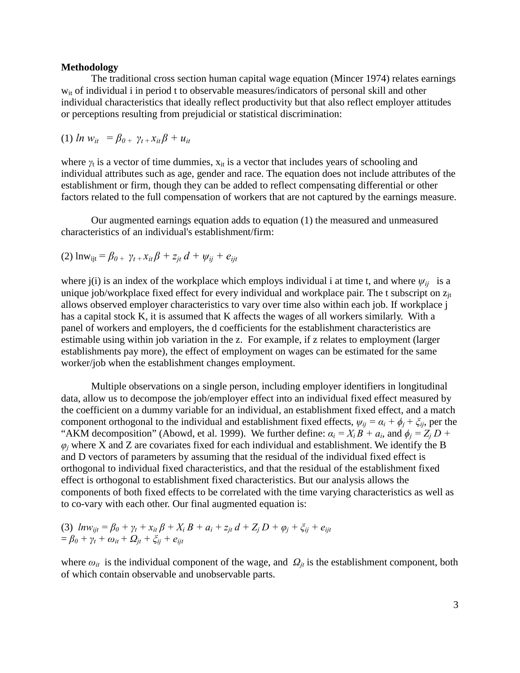#### **Methodology**

The traditional cross section human capital wage equation (Mincer 1974) relates earnings wit of individual i in period t to observable measures/indicators of personal skill and other individual characteristics that ideally reflect productivity but that also reflect employer attitudes or perceptions resulting from prejudicial or statistical discrimination:

$$
(1) ln w_{it} = \beta_{0+} \gamma_{t+} x_{it} \beta + u_{it}
$$

where  $\gamma_t$  is a vector of time dummies,  $x_{it}$  is a vector that includes years of schooling and individual attributes such as age, gender and race. The equation does not include attributes of the establishment or firm, though they can be added to reflect compensating differential or other factors related to the full compensation of workers that are not captured by the earnings measure.

 Our augmented earnings equation adds to equation (1) the measured and unmeasured characteristics of an individual's establishment/firm:

(2) 
$$
\ln w_{ijt} = \beta_{0+} \gamma_{t+} x_{it} \beta + z_{jt} d + \psi_{ij} + e_{ijt}
$$

where j(i) is an index of the workplace which employs individual i at time t, and where  $\psi_{ij}$  is a unique job/workplace fixed effect for every individual and workplace pair. The t subscript on  $z_{it}$ allows observed employer characteristics to vary over time also within each job. If workplace j has a capital stock K, it is assumed that K affects the wages of all workers similarly. With a panel of workers and employers, the d coefficients for the establishment characteristics are estimable using within job variation in the z. For example, if z relates to employment (larger establishments pay more), the effect of employment on wages can be estimated for the same worker/job when the establishment changes employment.

 Multiple observations on a single person, including employer identifiers in longitudinal data, allow us to decompose the job/employer effect into an individual fixed effect measured by the coefficient on a dummy variable for an individual, an establishment fixed effect, and a match component orthogonal to the individual and establishment fixed effects,  $\psi_{ii} = \alpha_i + \phi_i + \xi_{ii}$ , per the "AKM decomposition" (Abowd, et al. 1999). We further define:  $\alpha_i = X_i B + a_i$ , and  $\phi_i = Z_i D + a_i$  $\varphi$ <sub>*j*</sub> where X and Z are covariates fixed for each individual and establishment. We identify the B and D vectors of parameters by assuming that the residual of the individual fixed effect is orthogonal to individual fixed characteristics, and that the residual of the establishment fixed effect is orthogonal to establishment fixed characteristics. But our analysis allows the components of both fixed effects to be correlated with the time varying characteristics as well as to co-vary with each other. Our final augmented equation is:

(3) 
$$
ln w_{ijt} = \beta_0 + \gamma_t + x_{it} \beta + X_i B + a_i + z_{jt} d + Z_j D + \varphi_j + \xi_{ij} + e_{ijt}
$$
  
=  $\beta_0 + \gamma_t + \omega_{it} + \Omega_{jt} + \xi_{ij} + e_{ijt}$ 

where  $\omega_{it}$  is the individual component of the wage, and  $\Omega_{it}$  is the establishment component, both of which contain observable and unobservable parts.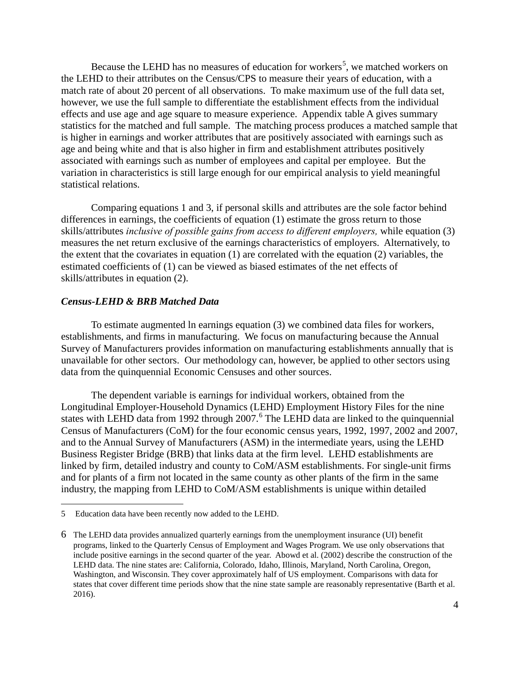Because the LEHD has no measures of education for workers<sup>[5](#page-4-0)</sup>, we matched workers on the LEHD to their attributes on the Census/CPS to measure their years of education, with a match rate of about 20 percent of all observations. To make maximum use of the full data set, however, we use the full sample to differentiate the establishment effects from the individual effects and use age and age square to measure experience. Appendix table A gives summary statistics for the matched and full sample. The matching process produces a matched sample that is higher in earnings and worker attributes that are positively associated with earnings such as age and being white and that is also higher in firm and establishment attributes positively associated with earnings such as number of employees and capital per employee. But the variation in characteristics is still large enough for our empirical analysis to yield meaningful statistical relations.

 Comparing equations 1 and 3, if personal skills and attributes are the sole factor behind differences in earnings, the coefficients of equation (1) estimate the gross return to those skills/attributes *inclusive of possible gains from access to different employers,* while equation (3) measures the net return exclusive of the earnings characteristics of employers. Alternatively, to the extent that the covariates in equation (1) are correlated with the equation (2) variables, the estimated coefficients of (1) can be viewed as biased estimates of the net effects of skills/attributes in equation (2).

## *Census-LEHD & BRB Matched Data*

 To estimate augmented ln earnings equation (3) we combined data files for workers, establishments, and firms in manufacturing. We focus on manufacturing because the Annual Survey of Manufacturers provides information on manufacturing establishments annually that is unavailable for other sectors. Our methodology can, however, be applied to other sectors using data from the quinquennial Economic Censuses and other sources.

The dependent variable is earnings for individual workers, obtained from the Longitudinal Employer-Household Dynamics (LEHD) Employment History Files for the nine states with LEHD data from 1992 through 2007.<sup>[6](#page-4-1)</sup> The LEHD data are linked to the quinquennial Census of Manufacturers (CoM) for the four economic census years, 1992, 1997, 2002 and 2007, and to the Annual Survey of Manufacturers (ASM) in the intermediate years, using the LEHD Business Register Bridge (BRB) that links data at the firm level. LEHD establishments are linked by firm, detailed industry and county to CoM/ASM establishments. For single-unit firms and for plants of a firm not located in the same county as other plants of the firm in the same industry, the mapping from LEHD to CoM/ASM establishments is unique within detailed

<span id="page-4-0"></span><sup>5</sup> Education data have been recently now added to the LEHD.

<span id="page-4-1"></span><sup>6</sup> The LEHD data provides annualized quarterly earnings from the unemployment insurance (UI) benefit programs, linked to the Quarterly Census of Employment and Wages Program. We use only observations that include positive earnings in the second quarter of the year. Abowd et al. (2002) describe the construction of the LEHD data. The nine states are: California, Colorado, Idaho, Illinois, Maryland, North Carolina, Oregon, Washington, and Wisconsin. They cover approximately half of US employment. Comparisons with data for states that cover different time periods show that the nine state sample are reasonably representative (Barth et al. 2016).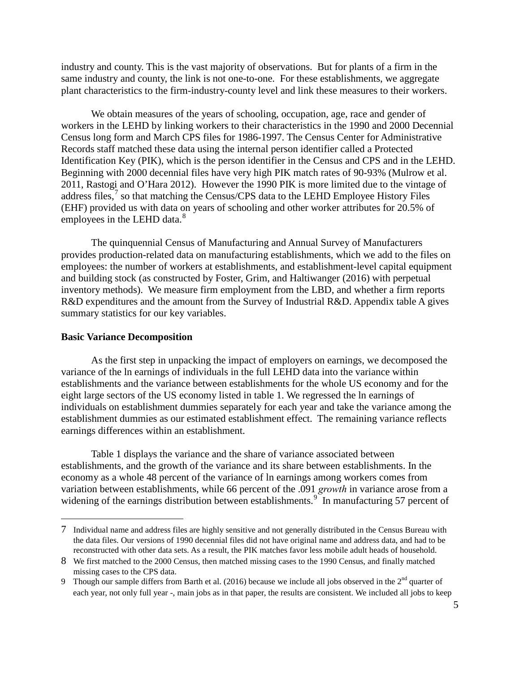industry and county. This is the vast majority of observations. But for plants of a firm in the same industry and county, the link is not one-to-one. For these establishments, we aggregate plant characteristics to the firm-industry-county level and link these measures to their workers.

We obtain measures of the years of schooling, occupation, age, race and gender of workers in the LEHD by linking workers to their characteristics in the 1990 and 2000 Decennial Census long form and March CPS files for 1986-1997. The Census Center for Administrative Records staff matched these data using the internal person identifier called a Protected Identification Key (PIK), which is the person identifier in the Census and CPS and in the LEHD. Beginning with 2000 decennial files have very high PIK match rates of 90-93% (Mulrow et al. 2011, Rastogi and O'Hara 2012). However the 1990 PIK is more limited due to the vintage of address files, $\frac{7}{1}$  $\frac{7}{1}$  $\frac{7}{1}$  so that matching the Census/CPS data to the LEHD Employee History Files (EHF) provided us with data on years of schooling and other worker attributes for 20.5% of employees in the LEHD data.<sup>[8](#page-5-1)</sup>

 The quinquennial Census of Manufacturing and Annual Survey of Manufacturers provides production-related data on manufacturing establishments, which we add to the files on employees: the number of workers at establishments, and establishment-level capital equipment and building stock (as constructed by Foster, Grim, and Haltiwanger (2016) with perpetual inventory methods). We measure firm employment from the LBD, and whether a firm reports R&D expenditures and the amount from the Survey of Industrial R&D. Appendix table A gives summary statistics for our key variables.

### **Basic Variance Decomposition**

 $\overline{a}$ 

 As the first step in unpacking the impact of employers on earnings, we decomposed the variance of the ln earnings of individuals in the full LEHD data into the variance within establishments and the variance between establishments for the whole US economy and for the eight large sectors of the US economy listed in table 1. We regressed the ln earnings of individuals on establishment dummies separately for each year and take the variance among the establishment dummies as our estimated establishment effect. The remaining variance reflects earnings differences within an establishment.

Table 1 displays the variance and the share of variance associated between establishments, and the growth of the variance and its share between establishments. In the economy as a whole 48 percent of the variance of ln earnings among workers comes from variation between establishments, while 66 percent of the .091 *growth* in variance arose from a widening of the earnings distribution between establishments.<sup>[9](#page-5-2)</sup> In manufacturing 57 percent of

<span id="page-5-0"></span><sup>7</sup> Individual name and address files are highly sensitive and not generally distributed in the Census Bureau with the data files. Our versions of 1990 decennial files did not have original name and address data, and had to be reconstructed with other data sets. As a result, the PIK matches favor less mobile adult heads of household.

<span id="page-5-1"></span><sup>8</sup> We first matched to the 2000 Census, then matched missing cases to the 1990 Census, and finally matched missing cases to the CPS data.

<span id="page-5-2"></span><sup>9</sup> Though our sample differs from Barth et al. (2016) because we include all jobs observed in the  $2<sup>nd</sup>$  quarter of each year, not only full year -, main jobs as in that paper, the results are consistent. We included all jobs to keep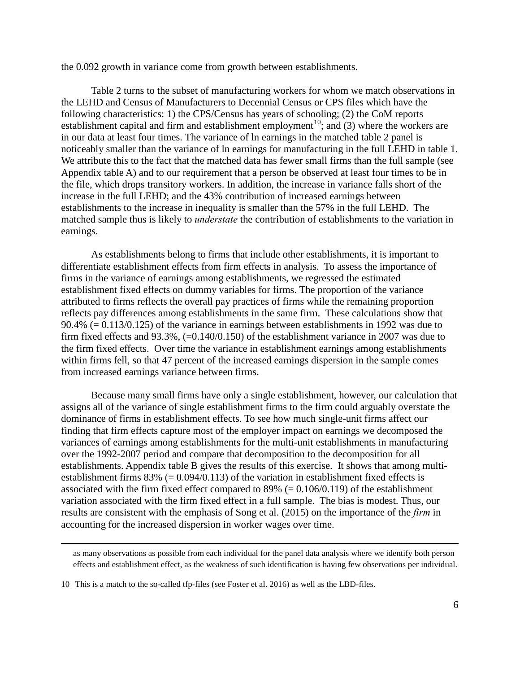the 0.092 growth in variance come from growth between establishments.

Table 2 turns to the subset of manufacturing workers for whom we match observations in the LEHD and Census of Manufacturers to Decennial Census or CPS files which have the following characteristics: 1) the CPS/Census has years of schooling; (2) the CoM reports establishment capital and firm and establishment employment<sup>[10](#page-6-0)</sup>; and  $(3)$  where the workers are in our data at least four times. The variance of ln earnings in the matched table 2 panel is noticeably smaller than the variance of ln earnings for manufacturing in the full LEHD in table 1. We attribute this to the fact that the matched data has fewer small firms than the full sample (see Appendix table A) and to our requirement that a person be observed at least four times to be in the file, which drops transitory workers. In addition, the increase in variance falls short of the increase in the full LEHD; and the 43% contribution of increased earnings between establishments to the increase in inequality is smaller than the 57% in the full LEHD. The matched sample thus is likely to *understate* the contribution of establishments to the variation in earnings.

As establishments belong to firms that include other establishments, it is important to differentiate establishment effects from firm effects in analysis. To assess the importance of firms in the variance of earnings among establishments, we regressed the estimated establishment fixed effects on dummy variables for firms. The proportion of the variance attributed to firms reflects the overall pay practices of firms while the remaining proportion reflects pay differences among establishments in the same firm. These calculations show that 90.4% (= 0.113/0.125) of the variance in earnings between establishments in 1992 was due to firm fixed effects and 93.3%, (=0.140/0.150) of the establishment variance in 2007 was due to the firm fixed effects. Over time the variance in establishment earnings among establishments within firms fell, so that 47 percent of the increased earnings dispersion in the sample comes from increased earnings variance between firms.

Because many small firms have only a single establishment, however, our calculation that assigns all of the variance of single establishment firms to the firm could arguably overstate the dominance of firms in establishment effects. To see how much single-unit firms affect our finding that firm effects capture most of the employer impact on earnings we decomposed the variances of earnings among establishments for the multi-unit establishments in manufacturing over the 1992-2007 period and compare that decomposition to the decomposition for all establishments. Appendix table B gives the results of this exercise. It shows that among multiestablishment firms  $83\%$  (= 0.094/0.113) of the variation in establishment fixed effects is associated with the firm fixed effect compared to  $89\%$  (= 0.106/0.119) of the establishment variation associated with the firm fixed effect in a full sample. The bias is modest. Thus, our results are consistent with the emphasis of Song et al. (2015) on the importance of the *firm* in accounting for the increased dispersion in worker wages over time.

as many observations as possible from each individual for the panel data analysis where we identify both person effects and establishment effect, as the weakness of such identification is having few observations per individual.

<span id="page-6-0"></span><sup>10</sup> This is a match to the so-called tfp-files (see Foster et al. 2016) as well as the LBD-files.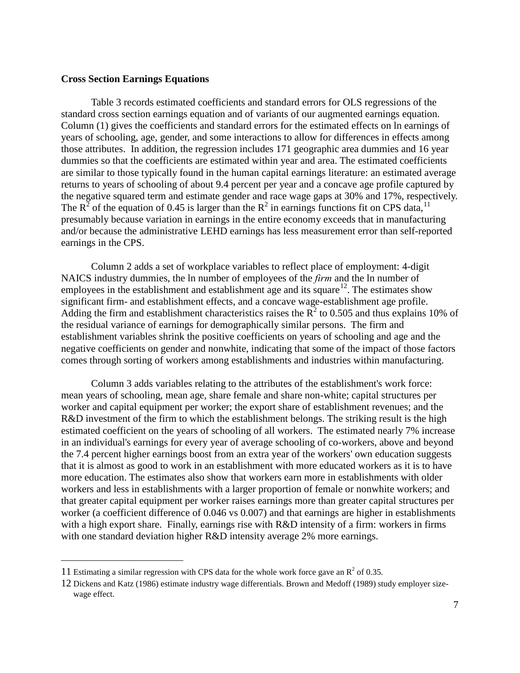### **Cross Section Earnings Equations**

Table 3 records estimated coefficients and standard errors for OLS regressions of the standard cross section earnings equation and of variants of our augmented earnings equation. Column (1) gives the coefficients and standard errors for the estimated effects on ln earnings of years of schooling, age, gender, and some interactions to allow for differences in effects among those attributes. In addition, the regression includes 171 geographic area dummies and 16 year dummies so that the coefficients are estimated within year and area. The estimated coefficients are similar to those typically found in the human capital earnings literature: an estimated average returns to years of schooling of about 9.4 percent per year and a concave age profile captured by the negative squared term and estimate gender and race wage gaps at 30% and 17%, respectively. The  $R^2$  of the equation of 0.45 is larger than the  $R^2$  in earnings functions fit on CPS data, <sup>[11](#page-7-0)</sup> presumably because variation in earnings in the entire economy exceeds that in manufacturing and/or because the administrative LEHD earnings has less measurement error than self-reported earnings in the CPS.

Column 2 adds a set of workplace variables to reflect place of employment: 4-digit NAICS industry dummies, the ln number of employees of the *firm* and the ln number of employees in the establishment and establishment age and its square<sup>12</sup>. The estimates show significant firm- and establishment effects, and a concave wage-establishment age profile. Adding the firm and establishment characteristics raises the  $\overline{R}^2$  to 0.505 and thus explains 10% of the residual variance of earnings for demographically similar persons. The firm and establishment variables shrink the positive coefficients on years of schooling and age and the negative coefficients on gender and nonwhite, indicating that some of the impact of those factors comes through sorting of workers among establishments and industries within manufacturing.

 Column 3 adds variables relating to the attributes of the establishment's work force: mean years of schooling, mean age, share female and share non-white; capital structures per worker and capital equipment per worker; the export share of establishment revenues; and the R&D investment of the firm to which the establishment belongs. The striking result is the high estimated coefficient on the years of schooling of all workers. The estimated nearly 7% increase in an individual's earnings for every year of average schooling of co-workers, above and beyond the 7.4 percent higher earnings boost from an extra year of the workers' own education suggests that it is almost as good to work in an establishment with more educated workers as it is to have more education. The estimates also show that workers earn more in establishments with older workers and less in establishments with a larger proportion of female or nonwhite workers; and that greater capital equipment per worker raises earnings more than greater capital structures per worker (a coefficient difference of 0.046 vs 0.007) and that earnings are higher in establishments with a high export share. Finally, earnings rise with R&D intensity of a firm: workers in firms with one standard deviation higher R&D intensity average 2% more earnings.

<span id="page-7-0"></span><sup>11</sup> Estimating a similar regression with CPS data for the whole work force gave an  $\mathbb{R}^2$  of 0.35.

<span id="page-7-1"></span><sup>12</sup> Dickens and Katz (1986) estimate industry wage differentials. Brown and Medoff (1989) study employer sizewage effect.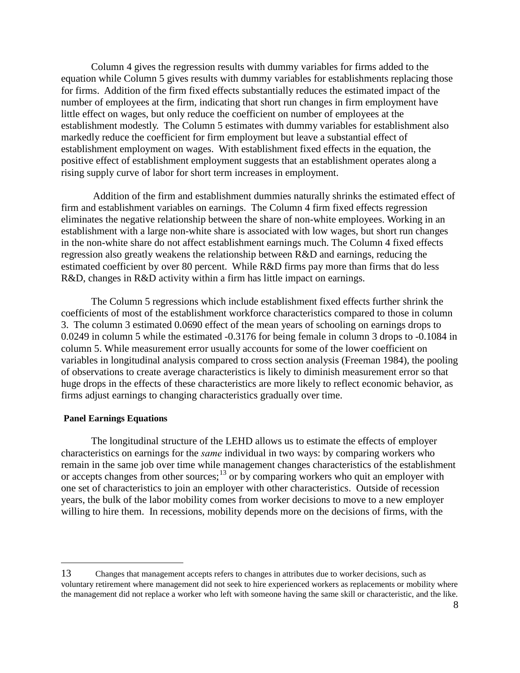Column 4 gives the regression results with dummy variables for firms added to the equation while Column 5 gives results with dummy variables for establishments replacing those for firms. Addition of the firm fixed effects substantially reduces the estimated impact of the number of employees at the firm, indicating that short run changes in firm employment have little effect on wages, but only reduce the coefficient on number of employees at the establishment modestly. The Column 5 estimates with dummy variables for establishment also markedly reduce the coefficient for firm employment but leave a substantial effect of establishment employment on wages. With establishment fixed effects in the equation, the positive effect of establishment employment suggests that an establishment operates along a rising supply curve of labor for short term increases in employment.

 Addition of the firm and establishment dummies naturally shrinks the estimated effect of firm and establishment variables on earnings. The Column 4 firm fixed effects regression eliminates the negative relationship between the share of non-white employees. Working in an establishment with a large non-white share is associated with low wages, but short run changes in the non-white share do not affect establishment earnings much. The Column 4 fixed effects regression also greatly weakens the relationship between R&D and earnings, reducing the estimated coefficient by over 80 percent. While R&D firms pay more than firms that do less R&D, changes in R&D activity within a firm has little impact on earnings.

 The Column 5 regressions which include establishment fixed effects further shrink the coefficients of most of the establishment workforce characteristics compared to those in column 3. The column 3 estimated 0.0690 effect of the mean years of schooling on earnings drops to 0.0249 in column 5 while the estimated -0.3176 for being female in column 3 drops to -0.1084 in column 5. While measurement error usually accounts for some of the lower coefficient on variables in longitudinal analysis compared to cross section analysis (Freeman 1984), the pooling of observations to create average characteristics is likely to diminish measurement error so that huge drops in the effects of these characteristics are more likely to reflect economic behavior, as firms adjust earnings to changing characteristics gradually over time.

### **Panel Earnings Equations**

 $\overline{a}$ 

The longitudinal structure of the LEHD allows us to estimate the effects of employer characteristics on earnings for the *same* individual in two ways: by comparing workers who remain in the same job over time while management changes characteristics of the establishment or accepts changes from other sources;<sup>13</sup> or by comparing workers who quit an employer with one set of characteristics to join an employer with other characteristics. Outside of recession years, the bulk of the labor mobility comes from worker decisions to move to a new employer willing to hire them. In recessions, mobility depends more on the decisions of firms, with the

<span id="page-8-0"></span><sup>13</sup> Changes that management accepts refers to changes in attributes due to worker decisions, such as voluntary retirement where management did not seek to hire experienced workers as replacements or mobility where the management did not replace a worker who left with someone having the same skill or characteristic, and the like.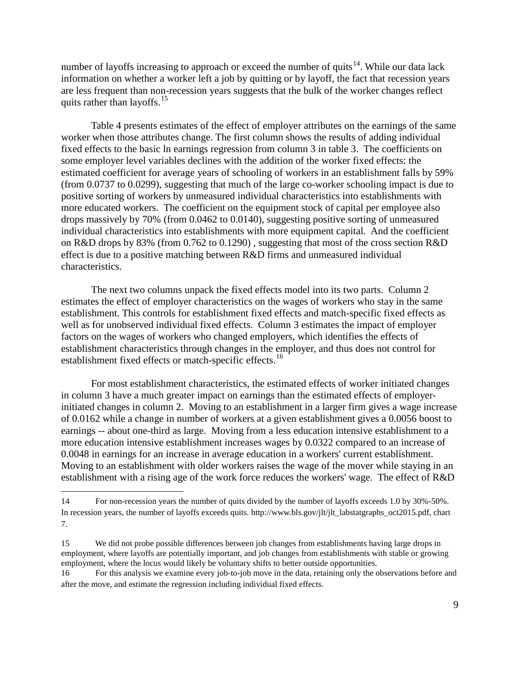number of layoffs increasing to approach or exceed the number of quits<sup>[14](#page-9-0)</sup>. While our data lack information on whether a worker left a job by quitting or by layoff, the fact that recession years are less frequent than non-recession years suggests that the bulk of the worker changes reflect quits rather than layoffs.<sup>15</sup>

Table 4 presents estimates of the effect of employer attributes on the earnings of the same worker when those attributes change. The first column shows the results of adding individual fixed effects to the basic ln earnings regression from column 3 in table 3. The coefficients on some employer level variables declines with the addition of the worker fixed effects: the estimated coefficient for average years of schooling of workers in an establishment falls by 59% (from 0.0737 to 0.0299), suggesting that much of the large co-worker schooling impact is due to positive sorting of workers by unmeasured individual characteristics into establishments with more educated workers. The coefficient on the equipment stock of capital per employee also drops massively by 70% (from 0.0462 to 0.0140), suggesting positive sorting of unmeasured individual characteristics into establishments with more equipment capital. And the coefficient on R&D drops by 83% (from 0.762 to 0.1290) , suggesting that most of the cross section R&D effect is due to a positive matching between R&D firms and unmeasured individual characteristics.

 The next two columns unpack the fixed effects model into its two parts. Column 2 estimates the effect of employer characteristics on the wages of workers who stay in the same establishment. This controls for establishment fixed effects and match-specific fixed effects as well as for unobserved individual fixed effects. Column 3 estimates the impact of employer factors on the wages of workers who changed employers, which identifies the effects of establishment characteristics through changes in the employer, and thus does not control for establishment fixed effects or match-specific effects.<sup>[16](#page-9-2)</sup>

For most establishment characteristics, the estimated effects of worker initiated changes in column 3 have a much greater impact on earnings than the estimated effects of employerinitiated changes in column 2. Moving to an establishment in a larger firm gives a wage increase of 0.0162 while a change in number of workers at a given establishment gives a 0.0056 boost to earnings -- about one-third as large. Moving from a less education intensive establishment to a more education intensive establishment increases wages by 0.0322 compared to an increase of 0.0048 in earnings for an increase in average education in a workers' current establishment. Moving to an establishment with older workers raises the wage of the mover while staying in an establishment with a rising age of the work force reduces the workers' wage. The effect of R&D

<span id="page-9-0"></span><sup>14</sup> For non-recession years the number of quits divided by the number of layoffs exceeds 1.0 by 30%-50%. In recession years, the number of layoffs exceeds quits. http://www.bls.gov/jlt/jlt\_labstatgraphs\_oct2015.pdf, chart 7.

<span id="page-9-1"></span><sup>15</sup> We did not probe possible differences between job changes from establishments having large drops in employment, where layoffs are potentially important, and job changes from establishments with stable or growing employment, where the locus would likely be voluntary shifts to better outside opportunities.

<span id="page-9-2"></span><sup>16</sup> For this analysis we examine every job-to-job move in the data, retaining only the observations before and after the move, and estimate the regression including individual fixed effects.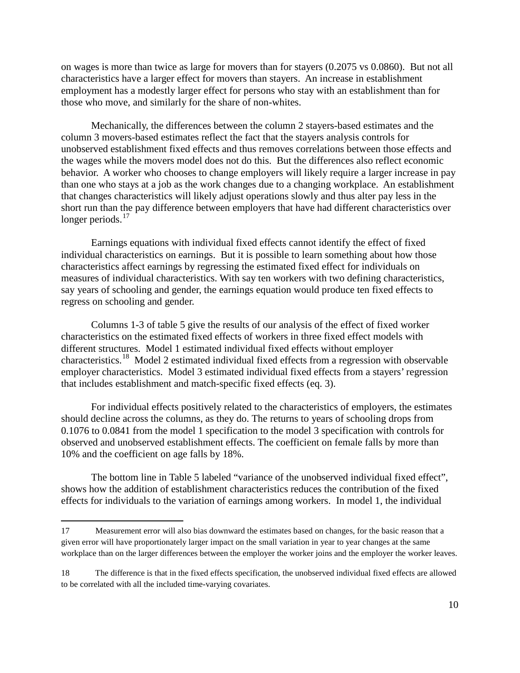on wages is more than twice as large for movers than for stayers (0.2075 vs 0.0860). But not all characteristics have a larger effect for movers than stayers. An increase in establishment employment has a modestly larger effect for persons who stay with an establishment than for those who move, and similarly for the share of non-whites.

Mechanically, the differences between the column 2 stayers-based estimates and the column 3 movers-based estimates reflect the fact that the stayers analysis controls for unobserved establishment fixed effects and thus removes correlations between those effects and the wages while the movers model does not do this. But the differences also reflect economic behavior. A worker who chooses to change employers will likely require a larger increase in pay than one who stays at a job as the work changes due to a changing workplace. An establishment that changes characteristics will likely adjust operations slowly and thus alter pay less in the short run than the pay difference between employers that have had different characteristics over longer periods. $17$ 

 Earnings equations with individual fixed effects cannot identify the effect of fixed individual characteristics on earnings. But it is possible to learn something about how those characteristics affect earnings by regressing the estimated fixed effect for individuals on measures of individual characteristics. With say ten workers with two defining characteristics, say years of schooling and gender, the earnings equation would produce ten fixed effects to regress on schooling and gender.

 Columns 1-3 of table 5 give the results of our analysis of the effect of fixed worker characteristics on the estimated fixed effects of workers in three fixed effect models with different structures. Model 1 estimated individual fixed effects without employer characteristics.[18](#page-10-1) Model 2 estimated individual fixed effects from a regression with observable employer characteristics. Model 3 estimated individual fixed effects from a stayers' regression that includes establishment and match-specific fixed effects (eq. 3).

For individual effects positively related to the characteristics of employers, the estimates should decline across the columns, as they do. The returns to years of schooling drops from 0.1076 to 0.0841 from the model 1 specification to the model 3 specification with controls for observed and unobserved establishment effects. The coefficient on female falls by more than 10% and the coefficient on age falls by 18%.

 The bottom line in Table 5 labeled "variance of the unobserved individual fixed effect", shows how the addition of establishment characteristics reduces the contribution of the fixed effects for individuals to the variation of earnings among workers. In model 1, the individual

<span id="page-10-0"></span><sup>17</sup> Measurement error will also bias downward the estimates based on changes, for the basic reason that a given error will have proportionately larger impact on the small variation in year to year changes at the same workplace than on the larger differences between the employer the worker joins and the employer the worker leaves.

<span id="page-10-1"></span><sup>18</sup> The difference is that in the fixed effects specification, the unobserved individual fixed effects are allowed to be correlated with all the included time-varying covariates.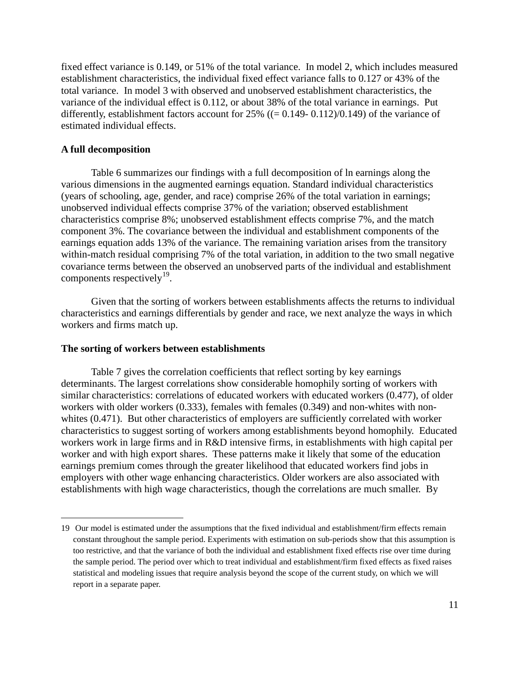fixed effect variance is 0.149, or 51% of the total variance. In model 2, which includes measured establishment characteristics, the individual fixed effect variance falls to 0.127 or 43% of the total variance. In model 3 with observed and unobserved establishment characteristics, the variance of the individual effect is 0.112, or about 38% of the total variance in earnings. Put differently, establishment factors account for 25% ((= 0.149- 0.112)/0.149) of the variance of estimated individual effects.

## **A full decomposition**

 $\overline{a}$ 

Table 6 summarizes our findings with a full decomposition of ln earnings along the various dimensions in the augmented earnings equation. Standard individual characteristics (years of schooling, age, gender, and race) comprise 26% of the total variation in earnings; unobserved individual effects comprise 37% of the variation; observed establishment characteristics comprise 8%; unobserved establishment effects comprise 7%, and the match component 3%. The covariance between the individual and establishment components of the earnings equation adds 13% of the variance. The remaining variation arises from the transitory within-match residual comprising 7% of the total variation, in addition to the two small negative covariance terms between the observed an unobserved parts of the individual and establishment components respectively<sup>19</sup>.

Given that the sorting of workers between establishments affects the returns to individual characteristics and earnings differentials by gender and race, we next analyze the ways in which workers and firms match up.

### **The sorting of workers between establishments**

Table 7 gives the correlation coefficients that reflect sorting by key earnings determinants. The largest correlations show considerable homophily sorting of workers with similar characteristics: correlations of educated workers with educated workers (0.477), of older workers with older workers (0.333), females with females (0.349) and non-whites with nonwhites (0.471). But other characteristics of employers are sufficiently correlated with worker characteristics to suggest sorting of workers among establishments beyond homophily. Educated workers work in large firms and in R&D intensive firms, in establishments with high capital per worker and with high export shares. These patterns make it likely that some of the education earnings premium comes through the greater likelihood that educated workers find jobs in employers with other wage enhancing characteristics. Older workers are also associated with establishments with high wage characteristics, though the correlations are much smaller. By

<span id="page-11-0"></span><sup>19</sup> Our model is estimated under the assumptions that the fixed individual and establishment/firm effects remain constant throughout the sample period. Experiments with estimation on sub-periods show that this assumption is too restrictive, and that the variance of both the individual and establishment fixed effects rise over time during the sample period. The period over which to treat individual and establishment/firm fixed effects as fixed raises statistical and modeling issues that require analysis beyond the scope of the current study, on which we will report in a separate paper.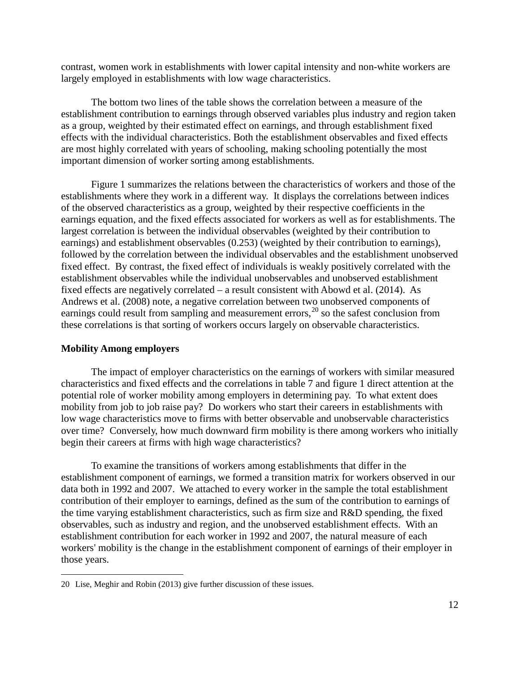contrast, women work in establishments with lower capital intensity and non-white workers are largely employed in establishments with low wage characteristics.

The bottom two lines of the table shows the correlation between a measure of the establishment contribution to earnings through observed variables plus industry and region taken as a group, weighted by their estimated effect on earnings, and through establishment fixed effects with the individual characteristics. Both the establishment observables and fixed effects are most highly correlated with years of schooling, making schooling potentially the most important dimension of worker sorting among establishments.

Figure 1 summarizes the relations between the characteristics of workers and those of the establishments where they work in a different way. It displays the correlations between indices of the observed characteristics as a group, weighted by their respective coefficients in the earnings equation, and the fixed effects associated for workers as well as for establishments. The largest correlation is between the individual observables (weighted by their contribution to earnings) and establishment observables (0.253) (weighted by their contribution to earnings), followed by the correlation between the individual observables and the establishment unobserved fixed effect. By contrast, the fixed effect of individuals is weakly positively correlated with the establishment observables while the individual unobservables and unobserved establishment fixed effects are negatively correlated – a result consistent with Abowd et al. (2014). As Andrews et al. (2008) note, a negative correlation between two unobserved components of earnings could result from sampling and measurement errors,<sup>[20](#page-12-0)</sup> so the safest conclusion from these correlations is that sorting of workers occurs largely on observable characteristics.

### **Mobility Among employers**

 $\overline{a}$ 

The impact of employer characteristics on the earnings of workers with similar measured characteristics and fixed effects and the correlations in table 7 and figure 1 direct attention at the potential role of worker mobility among employers in determining pay. To what extent does mobility from job to job raise pay? Do workers who start their careers in establishments with low wage characteristics move to firms with better observable and unobservable characteristics over time? Conversely, how much downward firm mobility is there among workers who initially begin their careers at firms with high wage characteristics?

To examine the transitions of workers among establishments that differ in the establishment component of earnings, we formed a transition matrix for workers observed in our data both in 1992 and 2007. We attached to every worker in the sample the total establishment contribution of their employer to earnings, defined as the sum of the contribution to earnings of the time varying establishment characteristics, such as firm size and R&D spending, the fixed observables, such as industry and region, and the unobserved establishment effects. With an establishment contribution for each worker in 1992 and 2007, the natural measure of each workers' mobility is the change in the establishment component of earnings of their employer in those years.

<span id="page-12-0"></span><sup>20</sup> Lise, Meghir and Robin (2013) give further discussion of these issues.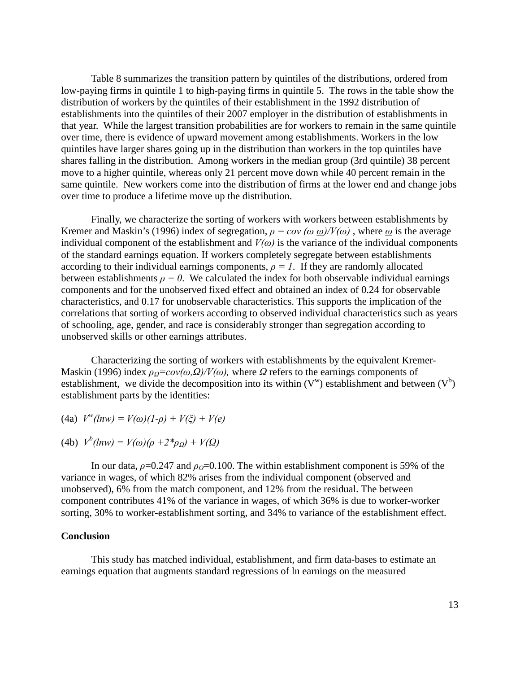Table 8 summarizes the transition pattern by quintiles of the distributions, ordered from low-paying firms in quintile 1 to high-paying firms in quintile 5. The rows in the table show the distribution of workers by the quintiles of their establishment in the 1992 distribution of establishments into the quintiles of their 2007 employer in the distribution of establishments in that year. While the largest transition probabilities are for workers to remain in the same quintile over time, there is evidence of upward movement among establishments. Workers in the low quintiles have larger shares going up in the distribution than workers in the top quintiles have shares falling in the distribution. Among workers in the median group (3rd quintile) 38 percent move to a higher quintile, whereas only 21 percent move down while 40 percent remain in the same quintile. New workers come into the distribution of firms at the lower end and change jobs over time to produce a lifetime move up the distribution.

Finally, we characterize the sorting of workers with workers between establishments by Kremer and Maskin's (1996) index of segregation,  $\rho = cov (\omega \omega)/V(\omega)$ , where  $\omega$  is the average individual component of the establishment and  $V(\omega)$  is the variance of the individual components of the standard earnings equation. If workers completely segregate between establishments according to their individual earnings components,  $\rho = I$ . If they are randomly allocated between establishments  $\rho = 0$ . We calculated the index for both observable individual earnings components and for the unobserved fixed effect and obtained an index of 0.24 for observable characteristics, and 0.17 for unobservable characteristics. This supports the implication of the correlations that sorting of workers according to observed individual characteristics such as years of schooling, age, gender, and race is considerably stronger than segregation according to unobserved skills or other earnings attributes.

Characterizing the sorting of workers with establishments by the equivalent Kremer-Maskin (1996) index  $\rho_0 = cov(\omega, \Omega)/V(\omega)$ , where  $\Omega$  refers to the earnings components of establishment, we divide the decomposition into its within  $(V^w)$  establishment and between  $(V^b)$ establishment parts by the identities:

(4a)  $V^w(lnw) = V(\omega)(1-\rho) + V(\xi) + V(e)$ 

(4b) 
$$
V^b(lnw) = V(\omega)(\rho + 2^*\rho_{\Omega}) + V(\Omega)
$$

In our data,  $\rho$ =0.247 and  $\rho$ <sub>*Q*</sub>=0.100. The within establishment component is 59% of the variance in wages, of which 82% arises from the individual component (observed and unobserved), 6% from the match component, and 12% from the residual. The between component contributes 41% of the variance in wages, of which 36% is due to worker-worker sorting, 30% to worker-establishment sorting, and 34% to variance of the establishment effect.

### **Conclusion**

 This study has matched individual, establishment, and firm data-bases to estimate an earnings equation that augments standard regressions of ln earnings on the measured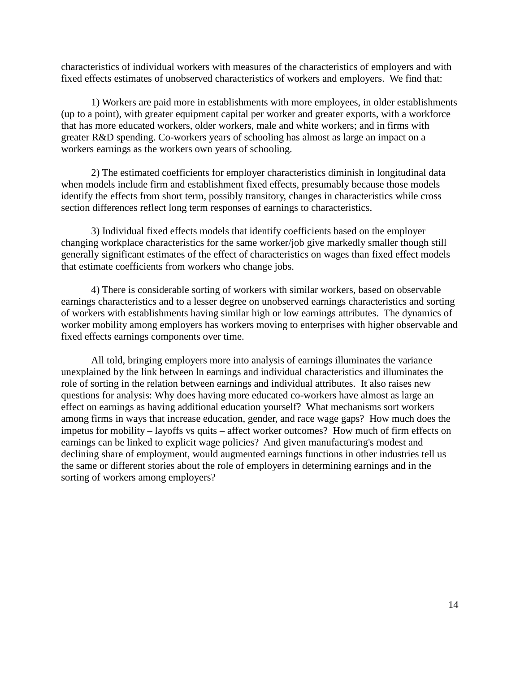characteristics of individual workers with measures of the characteristics of employers and with fixed effects estimates of unobserved characteristics of workers and employers. We find that:

 1) Workers are paid more in establishments with more employees, in older establishments (up to a point), with greater equipment capital per worker and greater exports, with a workforce that has more educated workers, older workers, male and white workers; and in firms with greater R&D spending. Co-workers years of schooling has almost as large an impact on a workers earnings as the workers own years of schooling.

2) The estimated coefficients for employer characteristics diminish in longitudinal data when models include firm and establishment fixed effects, presumably because those models identify the effects from short term, possibly transitory, changes in characteristics while cross section differences reflect long term responses of earnings to characteristics.

 3) Individual fixed effects models that identify coefficients based on the employer changing workplace characteristics for the same worker/job give markedly smaller though still generally significant estimates of the effect of characteristics on wages than fixed effect models that estimate coefficients from workers who change jobs.

 4) There is considerable sorting of workers with similar workers, based on observable earnings characteristics and to a lesser degree on unobserved earnings characteristics and sorting of workers with establishments having similar high or low earnings attributes. The dynamics of worker mobility among employers has workers moving to enterprises with higher observable and fixed effects earnings components over time.

All told, bringing employers more into analysis of earnings illuminates the variance unexplained by the link between ln earnings and individual characteristics and illuminates the role of sorting in the relation between earnings and individual attributes. It also raises new questions for analysis: Why does having more educated co-workers have almost as large an effect on earnings as having additional education yourself? What mechanisms sort workers among firms in ways that increase education, gender, and race wage gaps? How much does the impetus for mobility – layoffs vs quits – affect worker outcomes? How much of firm effects on earnings can be linked to explicit wage policies? And given manufacturing's modest and declining share of employment, would augmented earnings functions in other industries tell us the same or different stories about the role of employers in determining earnings and in the sorting of workers among employers?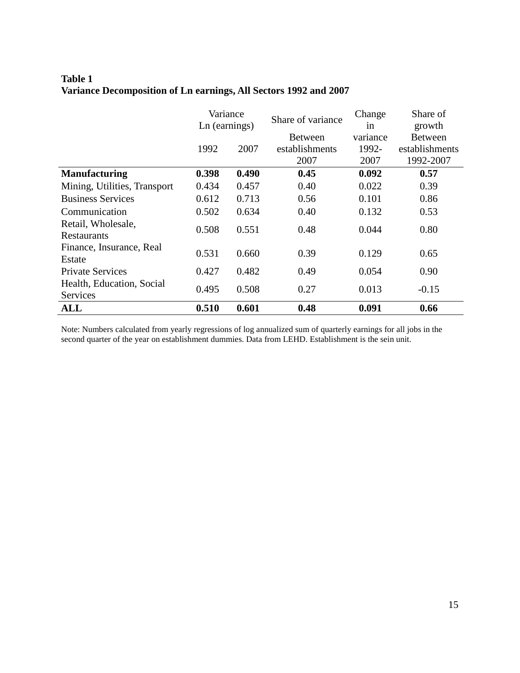# **Table 1 Variance Decomposition of Ln earnings, All Sectors 1992 and 2007**

|                              | Variance<br>Ln (earnings) |       | Share of variance | Change   | Share of       |
|------------------------------|---------------------------|-------|-------------------|----------|----------------|
|                              |                           |       |                   | in       | growth         |
|                              |                           |       | <b>Between</b>    | variance | <b>Between</b> |
|                              | 1992                      | 2007  | establishments    | 1992-    | establishments |
|                              |                           |       | 2007              | 2007     | 1992-2007      |
| <b>Manufacturing</b>         | 0.398                     | 0.490 | 0.45              | 0.092    | 0.57           |
| Mining, Utilities, Transport | 0.434                     | 0.457 | 0.40              | 0.022    | 0.39           |
| <b>Business Services</b>     | 0.612                     | 0.713 | 0.56              | 0.101    | 0.86           |
| Communication                | 0.502                     | 0.634 | 0.40              | 0.132    | 0.53           |
| Retail, Wholesale,           | 0.508                     | 0.551 | 0.48              | 0.044    | 0.80           |
| Restaurants                  |                           |       |                   |          |                |
| Finance, Insurance, Real     | 0.531                     | 0.660 | 0.39              | 0.129    | 0.65           |
| Estate                       |                           |       |                   |          |                |
| <b>Private Services</b>      | 0.427                     | 0.482 | 0.49              | 0.054    | 0.90           |
| Health, Education, Social    | 0.495                     | 0.508 | 0.27              | 0.013    | $-0.15$        |
| Services                     |                           |       |                   |          |                |
| <b>ALL</b>                   | 0.510                     | 0.601 | 0.48              | 0.091    | 0.66           |

Note: Numbers calculated from yearly regressions of log annualized sum of quarterly earnings for all jobs in the second quarter of the year on establishment dummies. Data from LEHD. Establishment is the sein unit.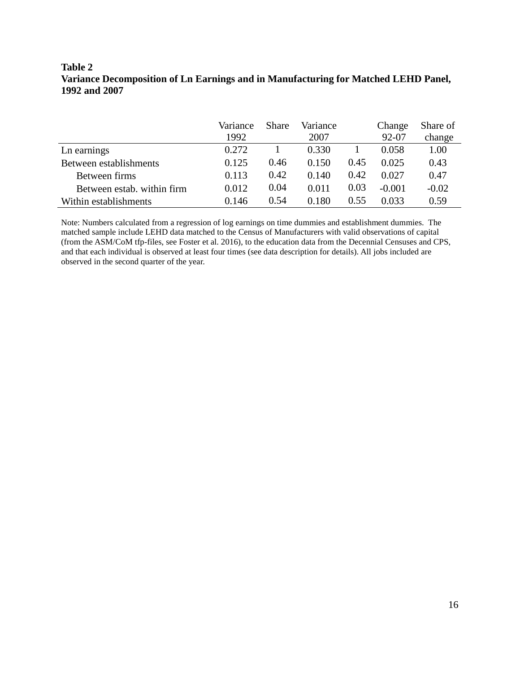# **Table 2 Variance Decomposition of Ln Earnings and in Manufacturing for Matched LEHD Panel, 1992 and 2007**

|                            | Variance | <b>Share</b> | Variance |      | Change   | Share of |
|----------------------------|----------|--------------|----------|------|----------|----------|
|                            | 1992     |              | 2007     |      | 92-07    | change   |
| Ln earnings                | 0.272    |              | 0.330    |      | 0.058    | 1.00     |
| Between establishments     | 0.125    | 0.46         | 0.150    | 0.45 | 0.025    | 0.43     |
| Between firms              | 0.113    | 0.42         | 0.140    | 0.42 | 0.027    | 0.47     |
| Between estab. within firm | 0.012    | 0.04         | 0.011    | 0.03 | $-0.001$ | $-0.02$  |
| Within establishments      | 0.146    | 0.54         | 0.180    | 0.55 | 0.033    | 0.59     |

Note: Numbers calculated from a regression of log earnings on time dummies and establishment dummies. The matched sample include LEHD data matched to the Census of Manufacturers with valid observations of capital (from the ASM/CoM tfp-files, see Foster et al. 2016), to the education data from the Decennial Censuses and CPS, and that each individual is observed at least four times (see data description for details). All jobs included are observed in the second quarter of the year.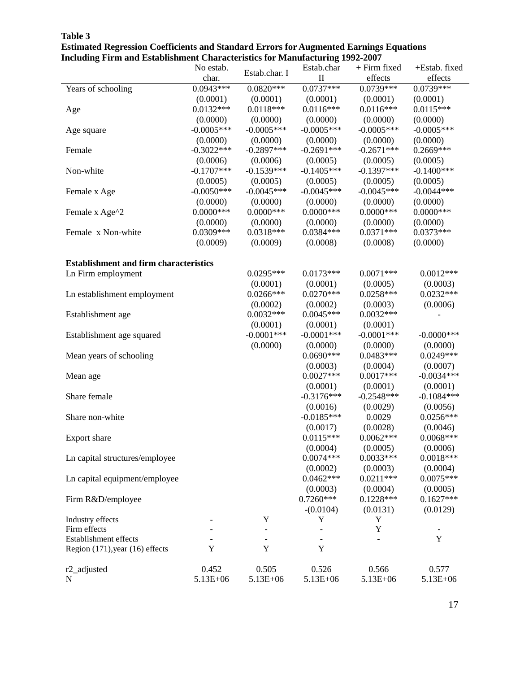|                                               | No estab.    |                          | Estab.char               | $+$ Firm fixed | +Estab. fixed            |
|-----------------------------------------------|--------------|--------------------------|--------------------------|----------------|--------------------------|
|                                               | char.        | Estab.char. I            | $\mathbf{I}$             | effects        | effects                  |
| Years of schooling                            | $0.0943***$  | $0.0820***$              | $0.0737***$              | $0.0739***$    | $0.0739***$              |
|                                               | (0.0001)     | (0.0001)                 | (0.0001)                 | (0.0001)       | (0.0001)                 |
| Age                                           | $0.0132***$  | $0.0118***$              | $0.0116***$              | $0.0116***$    | $0.0115***$              |
|                                               | (0.0000)     | (0.0000)                 | (0.0000)                 | (0.0000)       | (0.0000)                 |
| Age square                                    | $-0.0005***$ | $-0.0005***$             | $-0.0005***$             | $-0.0005***$   | $-0.0005***$             |
|                                               | (0.0000)     | (0.0000)                 | (0.0000)                 | (0.0000)       | (0.0000)                 |
| Female                                        | $-0.3022***$ | $-0.2897***$             | $-0.2691***$             | $-0.2671***$   | $0.2669***$              |
|                                               | (0.0006)     | (0.0006)                 | (0.0005)                 | (0.0005)       | (0.0005)                 |
| Non-white                                     | $-0.1707***$ | $-0.1539***$             | $-0.1405***$             | $-0.1397***$   | $-0.1400***$             |
|                                               | (0.0005)     | (0.0005)                 | (0.0005)                 | (0.0005)       | (0.0005)                 |
| Female x Age                                  | $-0.0050***$ | $-0.0045***$             | $-0.0045***$             | $-0.0045***$   | $-0.0044***$             |
|                                               | (0.0000)     | (0.0000)                 | (0.0000)                 | (0.0000)       | (0.0000)                 |
| Female x Age^2                                | $0.0000$ *** | $0.0000$ ***             | $0.0000***$              | $0.0000$ ***   | $0.0000$ ***             |
|                                               | (0.0000)     | (0.0000)                 | (0.0000)                 | (0.0000)       | (0.0000)                 |
| Female x Non-white                            | $0.0309***$  | $0.0318***$              | $0.0384***$              | $0.0371***$    | $0.0373***$              |
|                                               | (0.0009)     | (0.0009)                 | (0.0008)                 | (0.0008)       | (0.0000)                 |
|                                               |              |                          |                          |                |                          |
| <b>Establishment and firm characteristics</b> |              |                          |                          |                |                          |
| Ln Firm employment                            |              | $0.0295***$              | $0.0173***$              | $0.0071***$    | $0.0012***$              |
|                                               |              | (0.0001)                 | (0.0001)                 | (0.0005)       | (0.0003)                 |
| Ln establishment employment                   |              | $0.0266***$              | $0.0270***$              | $0.0258***$    | $0.0232***$              |
|                                               |              | (0.0002)                 | (0.0002)                 | (0.0003)       | (0.0006)                 |
| Establishment age                             |              | $0.0032***$              | $0.0045***$              | $0.0032***$    |                          |
|                                               |              | (0.0001)                 | (0.0001)                 | (0.0001)       |                          |
| Establishment age squared                     |              | $-0.0001***$             | $-0.0001$ ***            | $-0.0001$ ***  | $-0.0000$ ***            |
|                                               |              | (0.0000)                 | (0.0000)                 | (0.0000)       | (0.0000)                 |
| Mean years of schooling                       |              |                          | $0.0690***$              | 0.0483***      | $0.0249***$              |
|                                               |              |                          | (0.0003)                 | (0.0004)       | (0.0007)                 |
| Mean age                                      |              |                          | $0.0027***$              | $0.0017***$    | $-0.0034***$             |
|                                               |              |                          | (0.0001)                 | (0.0001)       | (0.0001)                 |
| Share female                                  |              |                          | $-0.3176***$             | $-0.2548***$   | $-0.1084***$             |
|                                               |              |                          | (0.0016)                 | (0.0029)       | (0.0056)                 |
| Share non-white                               |              |                          | $-0.0185***$             | 0.0029         | $0.0256***$              |
|                                               |              |                          | (0.0017)                 | (0.0028)       | (0.0046)                 |
| Export share                                  |              |                          | $0.0115***$              | $0.0062***$    | $0.0068***$              |
|                                               |              |                          | (0.0004)                 | (0.0005)       | (0.0006)                 |
| Ln capital structures/employee                |              |                          | $0.0074***$              | $0.0033***$    | $0.0018***$              |
|                                               |              |                          | (0.0002)                 | (0.0003)       | (0.0004)                 |
| Ln capital equipment/employee                 |              |                          | $0.0462***$              | $0.0211***$    | $0.0075***$              |
|                                               |              |                          | (0.0003)                 | (0.0004)       | (0.0005)                 |
| Firm R&D/employee                             |              |                          | $0.7260***$              | $0.1228***$    | $0.1627***$              |
|                                               |              |                          | $-(0.0104)$              | (0.0131)       | (0.0129)                 |
| Industry effects                              |              | Y                        | Y                        | Y              |                          |
| Firm effects                                  |              | $\overline{\phantom{a}}$ | $\overline{\phantom{m}}$ | $\mathbf Y$    | $\overline{\phantom{a}}$ |
| Establishment effects                         |              |                          |                          |                | Y                        |
| Region $(171)$ , year $(16)$ effects          | Y            | Y                        | Y                        |                |                          |
|                                               |              |                          |                          |                |                          |
| r2_adjusted                                   | 0.452        | 0.505                    | 0.526                    | 0.566          | 0.577                    |
| N                                             | 5.13E+06     | 5.13E+06                 | 5.13E+06                 | 5.13E+06       | 5.13E+06                 |

**Table 3 Estimated Regression Coefficients and Standard Errors for Augmented Earnings Equations Including Firm and Establishment Characteristics for Manufacturing 1992-2007**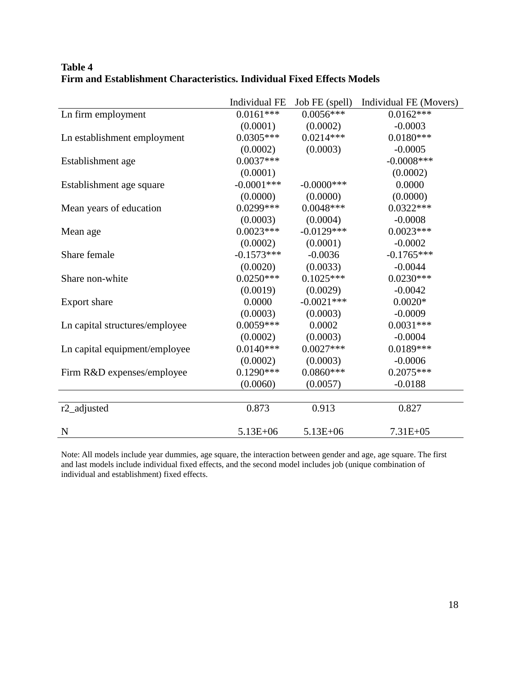|                                | Individual FE | Job FE (spell) | Individual FE (Movers) |
|--------------------------------|---------------|----------------|------------------------|
| Ln firm employment             | $0.0161***$   | $0.0056***$    | $0.0162***$            |
|                                | (0.0001)      | (0.0002)       | $-0.0003$              |
| Ln establishment employment    | $0.0305***$   | $0.0214***$    | $0.0180***$            |
|                                | (0.0002)      | (0.0003)       | $-0.0005$              |
| Establishment age              | $0.0037***$   |                | $-0.0008***$           |
|                                | (0.0001)      |                | (0.0002)               |
| Establishment age square       | $-0.0001$ *** | $-0.0000$ ***  | 0.0000                 |
|                                | (0.0000)      | (0.0000)       | (0.0000)               |
| Mean years of education        | $0.0299***$   | $0.0048***$    | $0.0322***$            |
|                                | (0.0003)      | (0.0004)       | $-0.0008$              |
| Mean age                       | $0.0023***$   | $-0.0129***$   | $0.0023***$            |
|                                | (0.0002)      | (0.0001)       | $-0.0002$              |
| Share female                   | $-0.1573***$  | $-0.0036$      | $-0.1765***$           |
|                                | (0.0020)      | (0.0033)       | $-0.0044$              |
| Share non-white                | $0.0250***$   | $0.1025***$    | $0.0230***$            |
|                                | (0.0019)      | (0.0029)       | $-0.0042$              |
| Export share                   | 0.0000        | $-0.0021***$   | $0.0020*$              |
|                                | (0.0003)      | (0.0003)       | $-0.0009$              |
| Ln capital structures/employee | $0.0059***$   | 0.0002         | $0.0031***$            |
|                                | (0.0002)      | (0.0003)       | $-0.0004$              |
| Ln capital equipment/employee  | $0.0140***$   | $0.0027***$    | $0.0189***$            |
|                                | (0.0002)      | (0.0003)       | $-0.0006$              |
| Firm R&D expenses/employee     | $0.1290***$   | $0.0860***$    | $0.2075***$            |
|                                | (0.0060)      | (0.0057)       | $-0.0188$              |
|                                |               |                |                        |
| r <sub>2_adjusted</sub>        | 0.873         | 0.913          | 0.827                  |
| N                              | $5.13E + 06$  | $5.13E + 06$   | $7.31E + 05$           |

# **Table 4 Firm and Establishment Characteristics. Individual Fixed Effects Models**

Note: All models include year dummies, age square, the interaction between gender and age, age square. The first and last models include individual fixed effects, and the second model includes job (unique combination of individual and establishment) fixed effects.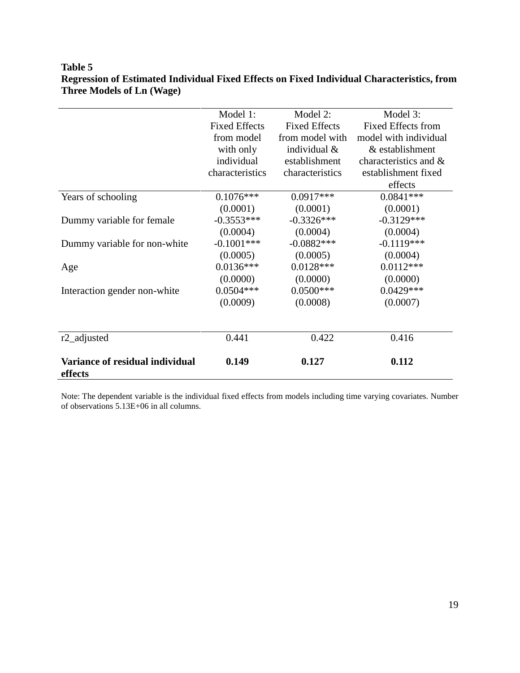# **Table 5 Regression of Estimated Individual Fixed Effects on Fixed Individual Characteristics, from Three Models of Ln (Wage)**

| Variance of residual individual<br>effects | 0.149                | 0.127                | 0.112                     |
|--------------------------------------------|----------------------|----------------------|---------------------------|
| r <sub>2_adjusted</sub>                    | 0.441                | 0.422                | 0.416                     |
|                                            |                      |                      |                           |
|                                            | (0.0009)             | (0.0008)             | (0.0007)                  |
| Interaction gender non-white               | $0.0504***$          | $0.0500***$          | $0.0429***$               |
|                                            | (0.0000)             | (0.0000)             | (0.0000)                  |
| Age                                        | $0.0136***$          | $0.0128***$          | $0.0112***$               |
|                                            | (0.0005)             | (0.0005)             | (0.0004)                  |
| Dummy variable for non-white               | $-0.1001$ ***        | $-0.0882***$         | $-0.1119***$              |
|                                            | (0.0004)             | (0.0004)             | (0.0004)                  |
| Dummy variable for female                  | $-0.3553***$         | $-0.3326***$         | $-0.3129***$              |
|                                            | (0.0001)             | (0.0001)             | (0.0001)                  |
| Years of schooling                         | $0.1076***$          | $0.0917***$          | $0.0841***$               |
|                                            |                      |                      | effects                   |
|                                            | characteristics      | characteristics      | establishment fixed       |
|                                            | individual           | establishment        | characteristics and &     |
|                                            | with only            | individual &         | & establishment           |
|                                            | from model           | from model with      | model with individual     |
|                                            | <b>Fixed Effects</b> | <b>Fixed Effects</b> | <b>Fixed Effects from</b> |
|                                            | Model 1:             | Model 2:             | Model 3:                  |

Note: The dependent variable is the individual fixed effects from models including time varying covariates. Number of observations 5.13E+06 in all columns.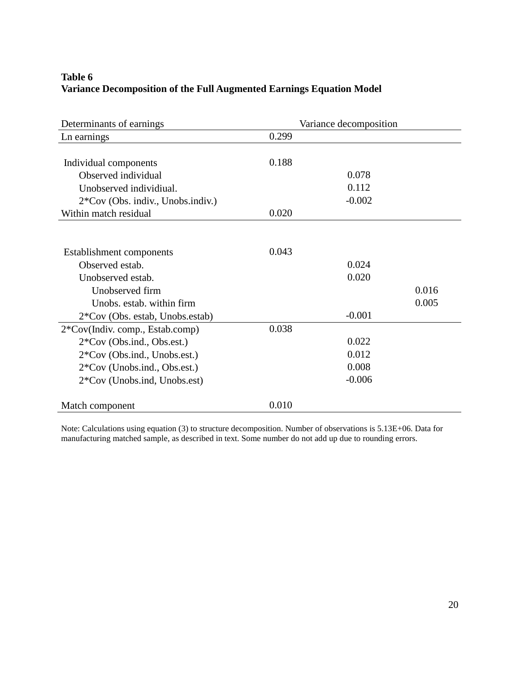# **Table 6 Variance Decomposition of the Full Augmented Earnings Equation Model**

| Determinants of earnings            | Variance decomposition |
|-------------------------------------|------------------------|
| Ln earnings                         | 0.299                  |
|                                     |                        |
| Individual components               | 0.188                  |
| Observed individual                 | 0.078                  |
| Unobserved individiual.             | 0.112                  |
| $2*Cov$ (Obs. indiv., Unobs.indiv.) | $-0.002$               |
| Within match residual               | 0.020                  |
|                                     |                        |
|                                     |                        |
| Establishment components            | 0.043                  |
| Observed estab.                     | 0.024                  |
| Unobserved estab.                   | 0.020                  |
| Unobserved firm                     | 0.016                  |
| Unobs, estab, within firm           | 0.005                  |
| 2*Cov (Obs. estab, Unobs.estab)     | $-0.001$               |
| 2*Cov(Indiv. comp., Estab.comp)     | 0.038                  |
| 2*Cov (Obs.ind., Obs.est.)          | 0.022                  |
| 2*Cov (Obs.ind., Unobs.est.)        | 0.012                  |
| 2*Cov (Unobs.ind., Obs.est.)        | 0.008                  |
| 2*Cov (Unobs.ind, Unobs.est)        | $-0.006$               |
| Match component                     | 0.010                  |
|                                     |                        |

Note: Calculations using equation (3) to structure decomposition. Number of observations is 5.13E+06. Data for manufacturing matched sample, as described in text. Some number do not add up due to rounding errors.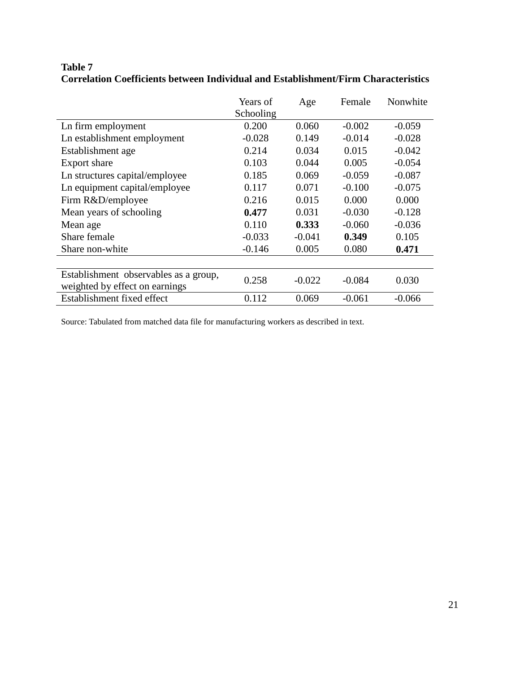|                                                                         | Years of  | Age      | Female   | Nonwhite |
|-------------------------------------------------------------------------|-----------|----------|----------|----------|
|                                                                         | Schooling |          |          |          |
| Ln firm employment                                                      | 0.200     | 0.060    | $-0.002$ | $-0.059$ |
| Ln establishment employment                                             | $-0.028$  | 0.149    | $-0.014$ | $-0.028$ |
| Establishment age                                                       | 0.214     | 0.034    | 0.015    | $-0.042$ |
| Export share                                                            | 0.103     | 0.044    | 0.005    | $-0.054$ |
| Ln structures capital/employee                                          | 0.185     | 0.069    | $-0.059$ | $-0.087$ |
| Ln equipment capital/employee                                           | 0.117     | 0.071    | $-0.100$ | $-0.075$ |
| Firm R&D/employee                                                       | 0.216     | 0.015    | 0.000    | 0.000    |
| Mean years of schooling                                                 | 0.477     | 0.031    | $-0.030$ | $-0.128$ |
| Mean age                                                                | 0.110     | 0.333    | $-0.060$ | $-0.036$ |
| Share female                                                            | $-0.033$  | $-0.041$ | 0.349    | 0.105    |
| Share non-white                                                         | $-0.146$  | 0.005    | 0.080    | 0.471    |
|                                                                         |           |          |          |          |
| Establishment observables as a group,<br>weighted by effect on earnings | 0.258     | $-0.022$ | $-0.084$ | 0.030    |
| Establishment fixed effect                                              | 0.112     | 0.069    | $-0.061$ | $-0.066$ |

# **Table 7 Correlation Coefficients between Individual and Establishment/Firm Characteristics**

Source: Tabulated from matched data file for manufacturing workers as described in text.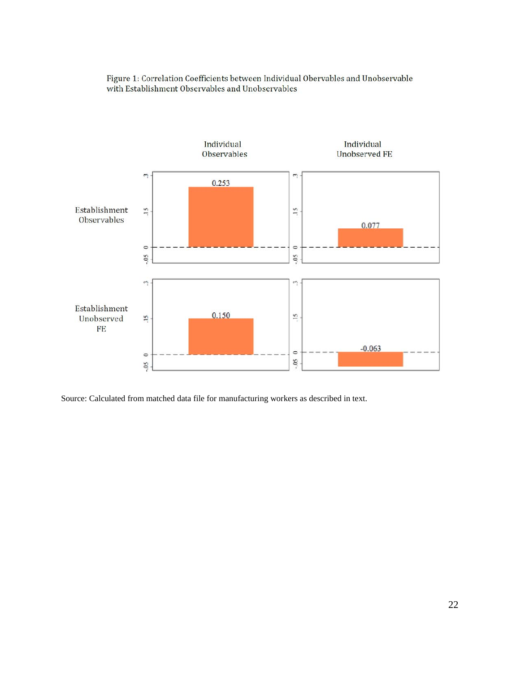

Figure 1: Correlation Coefficients between Individual Obervables and Unobservable with Establishment Observables and Unobservables

Source: Calculated from matched data file for manufacturing workers as described in text.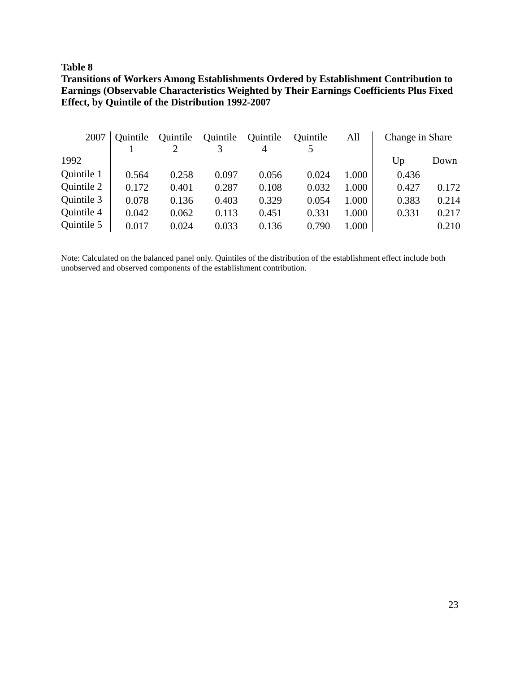# **Table 8**

# **Transitions of Workers Among Establishments Ordered by Establishment Contribution to Earnings (Observable Characteristics Weighted by Their Earnings Coefficients Plus Fixed Effect, by Quintile of the Distribution 1992-2007**

| 2007       | Ouintile | Quintile | Quintile | Quintile | Quintile | All   | Change in Share |       |
|------------|----------|----------|----------|----------|----------|-------|-----------------|-------|
|            |          |          |          | 4        |          |       |                 |       |
| 1992       |          |          |          |          |          |       | Up              | Down  |
| Quintile 1 | 0.564    | 0.258    | 0.097    | 0.056    | 0.024    | 1.000 | 0.436           |       |
| Quintile 2 | 0.172    | 0.401    | 0.287    | 0.108    | 0.032    | 1.000 | 0.427           | 0.172 |
| Quintile 3 | 0.078    | 0.136    | 0.403    | 0.329    | 0.054    | 1.000 | 0.383           | 0.214 |
| Quintile 4 | 0.042    | 0.062    | 0.113    | 0.451    | 0.331    | 1.000 | 0.331           | 0.217 |
| Quintile 5 | 0.017    | 0.024    | 0.033    | 0.136    | 0.790    | 1.000 |                 | 0.210 |

Note: Calculated on the balanced panel only. Quintiles of the distribution of the establishment effect include both unobserved and observed components of the establishment contribution.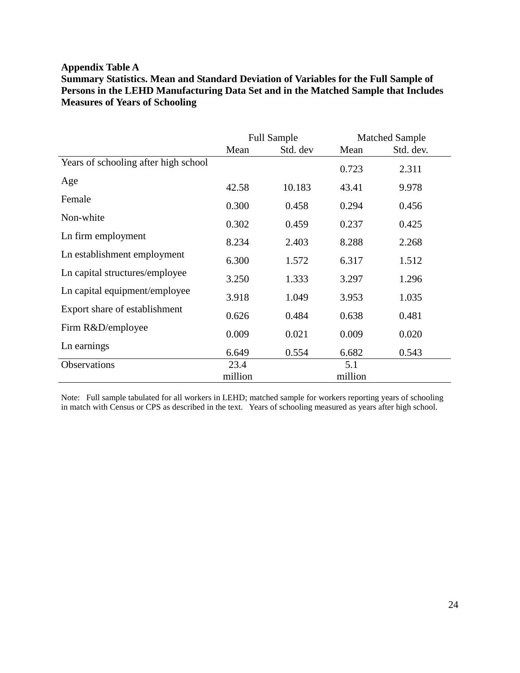# **Appendix Table A**

**Summary Statistics. Mean and Standard Deviation of Variables for the Full Sample of Persons in the LEHD Manufacturing Data Set and in the Matched Sample that Includes Measures of Years of Schooling**

|                                      |         | <b>Full Sample</b> |         | <b>Matched Sample</b> |
|--------------------------------------|---------|--------------------|---------|-----------------------|
|                                      | Mean    | Std. dev           | Mean    | Std. dev.             |
| Years of schooling after high school |         |                    | 0.723   | 2.311                 |
| Age                                  | 42.58   | 10.183             | 43.41   | 9.978                 |
| Female                               | 0.300   | 0.458              | 0.294   | 0.456                 |
| Non-white                            | 0.302   | 0.459              | 0.237   | 0.425                 |
| Ln firm employment                   | 8.234   | 2.403              | 8.288   | 2.268                 |
| Ln establishment employment          | 6.300   | 1.572              | 6.317   | 1.512                 |
| Ln capital structures/employee       | 3.250   | 1.333              | 3.297   | 1.296                 |
| Ln capital equipment/employee        | 3.918   | 1.049              | 3.953   | 1.035                 |
| Export share of establishment        | 0.626   | 0.484              | 0.638   | 0.481                 |
| Firm R&D/employee                    | 0.009   | 0.021              | 0.009   | 0.020                 |
| Ln earnings                          | 6.649   | 0.554              | 6.682   | 0.543                 |
| Observations                         | 23.4    |                    | 5.1     |                       |
|                                      | million |                    | million |                       |

Note: Full sample tabulated for all workers in LEHD; matched sample for workers reporting years of schooling in match with Census or CPS as described in the text. Years of schooling measured as years after high school.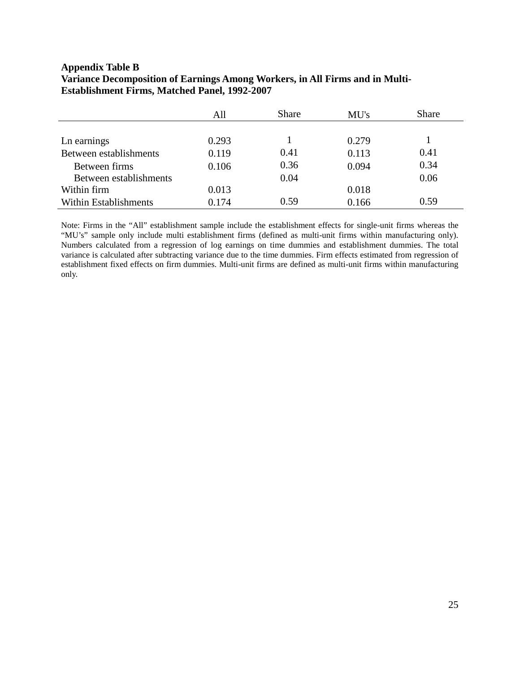# **Appendix Table B Variance Decomposition of Earnings Among Workers, in All Firms and in Multi-Establishment Firms, Matched Panel, 1992-2007**

|                        | All   | <b>Share</b> | MU's  | <b>Share</b> |
|------------------------|-------|--------------|-------|--------------|
|                        |       |              |       |              |
| Ln earnings            | 0.293 |              | 0.279 |              |
| Between establishments | 0.119 | 0.41         | 0.113 | 0.41         |
| Between firms          | 0.106 | 0.36         | 0.094 | 0.34         |
| Between establishments |       | 0.04         |       | 0.06         |
| Within firm            | 0.013 |              | 0.018 |              |
| Within Establishments  | 0.174 | 0.59         | 0.166 | 0.59         |

Note: Firms in the "All" establishment sample include the establishment effects for single-unit firms whereas the "MU's" sample only include multi establishment firms (defined as multi-unit firms within manufacturing only). Numbers calculated from a regression of log earnings on time dummies and establishment dummies. The total variance is calculated after subtracting variance due to the time dummies. Firm effects estimated from regression of establishment fixed effects on firm dummies. Multi-unit firms are defined as multi-unit firms within manufacturing only.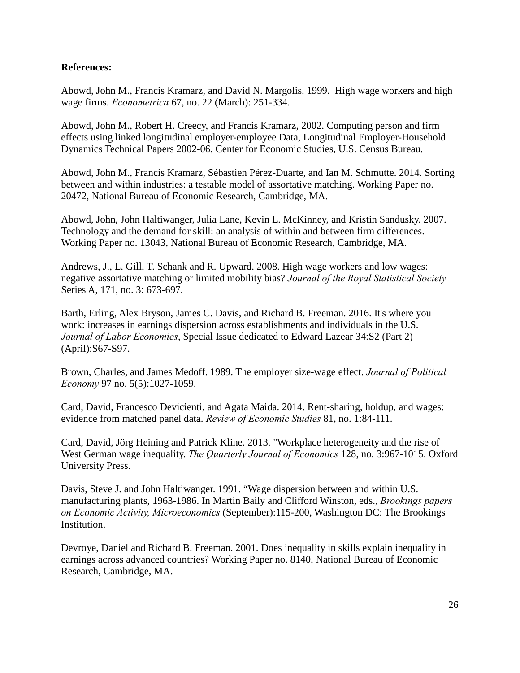# **References:**

Abowd, John M., Francis Kramarz, and David N. Margolis. 1999. High wage workers and high wage firms. *Econometrica* 67, no. 22 (March): 251-334.

Abowd, John M., Robert H. Creecy, and Francis Kramarz, 2002. Computing person and firm effects using linked longitudinal employer-employee Data, Longitudinal Employer-Household Dynamics Technical Papers 2002-06, Center for Economic Studies, U.S. Census Bureau.

Abowd, John M., Francis Kramarz, Sébastien Pérez-Duarte, and Ian M. Schmutte. 2014. Sorting between and within industries: a testable model of assortative matching. Working Paper no. 20472, National Bureau of Economic Research, Cambridge, MA.

Abowd, John, John Haltiwanger, Julia Lane, Kevin L. McKinney, and Kristin Sandusky. 2007. Technology and the demand for skill: an analysis of within and between firm differences. Working Paper no. 13043, National Bureau of Economic Research, Cambridge, MA.

Andrews, J., L. Gill, T. Schank and R. Upward. 2008. High wage workers and low wages: negative assortative matching or limited mobility bias? *Journal of the Royal Statistical Society*  Series A, 171, no. 3: 673-697.

Barth, Erling, Alex Bryson, James C. Davis, and Richard B. Freeman. 2016. It's where you work: increases in earnings dispersion across establishments and individuals in the U.S. *Journal of Labor Economics*, Special Issue dedicated to Edward Lazear 34:S2 (Part 2) (April):S67-S97.

Brown, Charles, and James Medoff. 1989. The employer size-wage effect. *Journal of Political Economy* 97 no. 5(5):1027-1059.

Card, David, Francesco Devicienti, and Agata Maida. 2014. Rent-sharing, holdup, and wages: evidence from matched panel data. *Review of Economic Studies* 81, no. 1:84-111.

Card, David, Jörg Heining and Patrick Kline. 2013. "Workplace heterogeneity and the rise of West German wage inequality. *The Quarterly Journal of Economics* 128, no. 3:967-1015. Oxford University Press.

Davis, Steve J. and John Haltiwanger. 1991. "Wage dispersion between and within U.S. manufacturing plants, 1963-1986. In Martin Baily and Clifford Winston, eds., *Brookings papers on Economic Activity, Microeconomics* (September):115-200, Washington DC: The Brookings Institution.

Devroye, Daniel and Richard B. Freeman. 2001. Does inequality in skills explain inequality in earnings across advanced countries? Working Paper no. 8140, National Bureau of Economic Research, Cambridge, MA.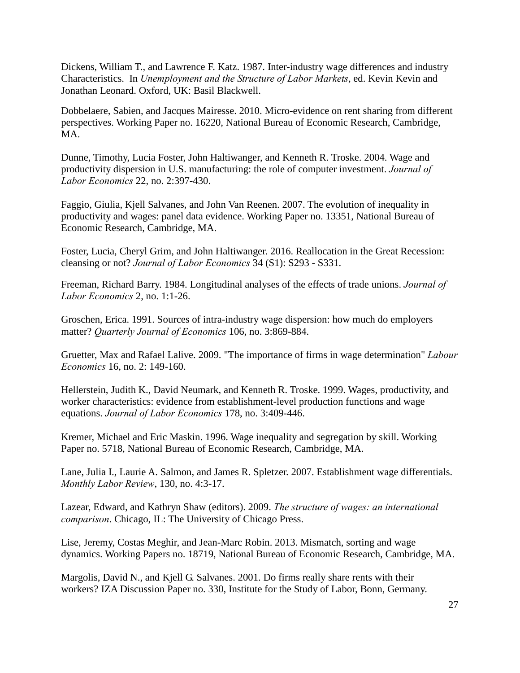Dickens, William T., and Lawrence F. Katz. 1987. Inter-industry wage differences and industry Characteristics. In *Unemployment and the Structure of Labor Markets*, ed. Kevin Kevin and Jonathan Leonard. Oxford, UK: Basil Blackwell.

Dobbelaere, Sabien, and Jacques Mairesse. 2010. Micro-evidence on rent sharing from different perspectives. Working Paper no. 16220, National Bureau of Economic Research, Cambridge, MA.

Dunne, Timothy, Lucia Foster, John Haltiwanger, and Kenneth R. Troske. 2004. Wage and productivity dispersion in U.S. manufacturing: the role of computer investment. *Journal of Labor Economics* 22, no. 2:397-430.

Faggio, Giulia, Kjell Salvanes, and John Van Reenen. 2007. The evolution of inequality in productivity and wages: panel data evidence. Working Paper no. 13351, National Bureau of Economic Research, Cambridge, MA.

Foster, Lucia, Cheryl Grim, and John Haltiwanger. 2016. Reallocation in the Great Recession: cleansing or not? *Journal of Labor Economics* 34 (S1): S293 - S331.

Freeman, Richard Barry. 1984. Longitudinal analyses of the effects of trade unions. *Journal of Labor Economics* 2, no. 1:1-26.

Groschen, Erica. 1991. Sources of intra-industry wage dispersion: how much do employers matter? *Quarterly Journal of Economics* 106, no. 3:869-884.

Gruetter, Max and Rafael Lalive. 2009. "The importance of firms in wage determination" *Labour Economics* 16, no. 2: 149-160.

Hellerstein, Judith K., David Neumark, and Kenneth R. Troske. 1999. Wages, productivity, and worker characteristics: evidence from establishment-level production functions and wage equations. *Journal of Labor Economics* 178, no. 3:409-446.

Kremer, Michael and Eric Maskin. 1996. Wage inequality and segregation by skill. Working Paper no. 5718, National Bureau of Economic Research, Cambridge, MA.

Lane, Julia I., Laurie A. Salmon, and James R. Spletzer. 2007. Establishment wage differentials. *Monthly Labor Review*, 130, no. 4:3-17.

Lazear, Edward, and Kathryn Shaw (editors). 2009. *The structure of wages: an international comparison*. Chicago, IL: The University of Chicago Press.

Lise, Jeremy, Costas Meghir, and Jean-Marc Robin. 2013. Mismatch, sorting and wage dynamics. Working Papers no. 18719, National Bureau of Economic Research, Cambridge, MA.

Margolis, David N., and Kjell G. Salvanes. 2001. Do firms really share rents with their workers? IZA Discussion Paper no. 330, Institute for the Study of Labor, Bonn, Germany.